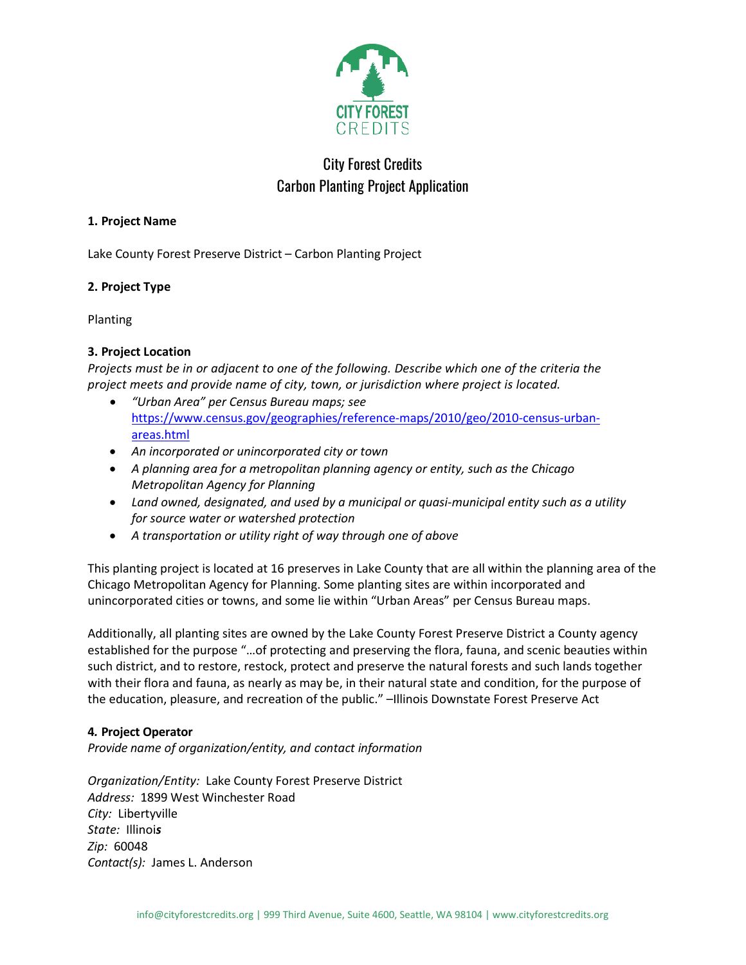

# City Forest Credits Carbon Planting Project Application

### **1. Project Name**

Lake County Forest Preserve District – Carbon Planting Project

# **2. Project Type**

Planting

# **3. Project Location**

*Projects must be in or adjacent to one of the following. Describe which one of the criteria the project meets and provide name of city, town, or jurisdiction where project is located.*

- *"Urban Area" per Census Bureau maps; see* [https://www.census.gov/geographies/reference-maps/2010/geo/2010-census-urban](https://www.census.gov/geographies/reference-maps/2010/geo/2010-census-urban-areas.html)[areas.html](https://www.census.gov/geographies/reference-maps/2010/geo/2010-census-urban-areas.html)
- *An incorporated or unincorporated city or town*
- *A planning area for a metropolitan planning agency or entity, such as the Chicago Metropolitan Agency for Planning*
- *Land owned, designated, and used by a municipal or quasi-municipal entity such as a utility for source water or watershed protection*
- *A transportation or utility right of way through one of above*

This planting project is located at 16 preserves in Lake County that are all within the planning area of the Chicago Metropolitan Agency for Planning. Some planting sites are within incorporated and unincorporated cities or towns, and some lie within "Urban Areas" per Census Bureau maps.

Additionally, all planting sites are owned by the Lake County Forest Preserve District a County agency established for the purpose "…of protecting and preserving the flora, fauna, and scenic beauties within such district, and to restore, restock, protect and preserve the natural forests and such lands together with their flora and fauna, as nearly as may be, in their natural state and condition, for the purpose of the education, pleasure, and recreation of the public." –Illinois Downstate Forest Preserve Act

# **4***.* **Project Operator**

*Provide name of organization/entity, and contact information* 

*Organization/Entity:* Lake County Forest Preserve District *Address:* 1899 West Winchester Road *City:* Libertyville *State:* Illinoi*s Zip:* 60048 *Contact(s):* James L. Anderson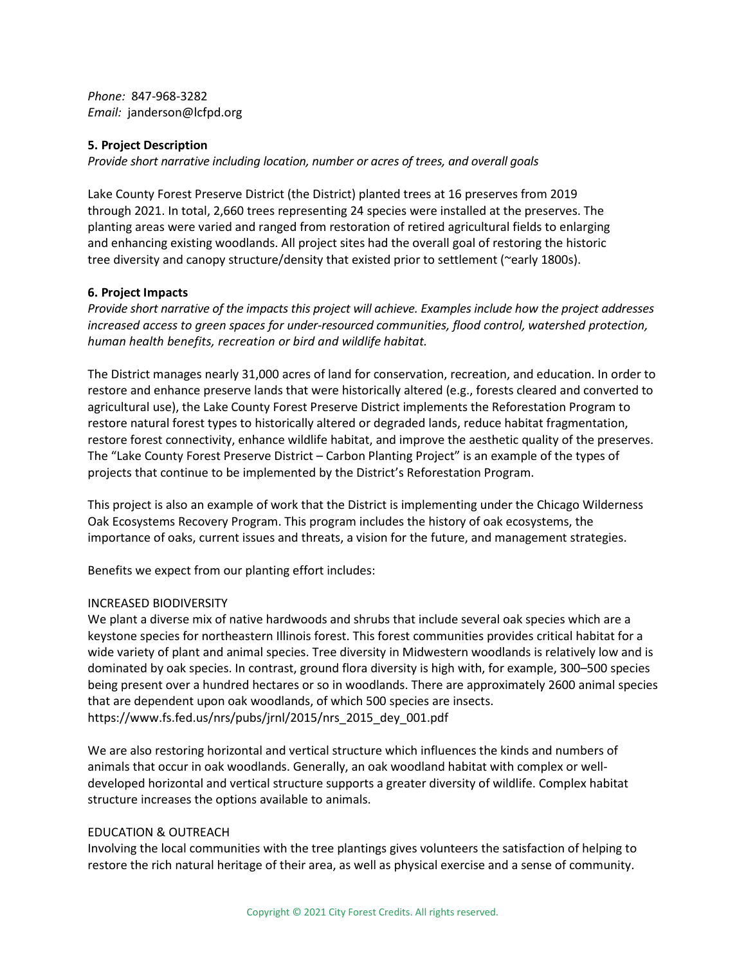*Phone:* 847-968-3282 *Email:* janderson@lcfpd.org

#### **5. Project Description**

*Provide short narrative including location, number or acres of trees, and overall goals* 

Lake County Forest Preserve District (the District) planted trees at 16 preserves from 2019 through 2021. In total, 2,660 trees representing 24 species were installed at the preserves. The planting areas were varied and ranged from restoration of retired agricultural fields to enlarging and enhancing existing woodlands. All project sites had the overall goal of restoring the historic tree diversity and canopy structure/density that existed prior to settlement (~early 1800s).

#### **6. Project Impacts**

*Provide short narrative of the impacts this project will achieve. Examples include how the project addresses increased access to green spaces for under-resourced communities, flood control, watershed protection, human health benefits, recreation or bird and wildlife habitat.*

The District manages nearly 31,000 acres of land for conservation, recreation, and education. In order to restore and enhance preserve lands that were historically altered (e.g., forests cleared and converted to agricultural use), the Lake County Forest Preserve District implements the Reforestation Program to restore natural forest types to historically altered or degraded lands, reduce habitat fragmentation, restore forest connectivity, enhance wildlife habitat, and improve the aesthetic quality of the preserves. The "Lake County Forest Preserve District – Carbon Planting Project" is an example of the types of projects that continue to be implemented by the District's Reforestation Program.

This project is also an example of work that the District is implementing under the Chicago Wilderness Oak Ecosystems Recovery Program. This program includes the history of oak ecosystems, the importance of oaks, current issues and threats, a vision for the future, and management strategies.

Benefits we expect from our planting effort includes:

#### INCREASED BIODIVERSITY

We plant a diverse mix of native hardwoods and shrubs that include several oak species which are a keystone species for northeastern Illinois forest. This forest communities provides critical habitat for a wide variety of plant and animal species. Tree diversity in Midwestern woodlands is relatively low and is dominated by oak species. In contrast, ground flora diversity is high with, for example, 300–500 species being present over a hundred hectares or so in woodlands. There are approximately 2600 animal species that are dependent upon oak woodlands, of which 500 species are insects. https://www.fs.fed.us/nrs/pubs/jrnl/2015/nrs\_2015\_dey\_001.pdf

We are also restoring horizontal and vertical structure which influences the kinds and numbers of animals that occur in oak woodlands. Generally, an oak woodland habitat with complex or welldeveloped horizontal and vertical structure supports a greater diversity of wildlife. Complex habitat structure increases the options available to animals.

#### EDUCATION & OUTREACH

Involving the local communities with the tree plantings gives volunteers the satisfaction of helping to restore the rich natural heritage of their area, as well as physical exercise and a sense of community.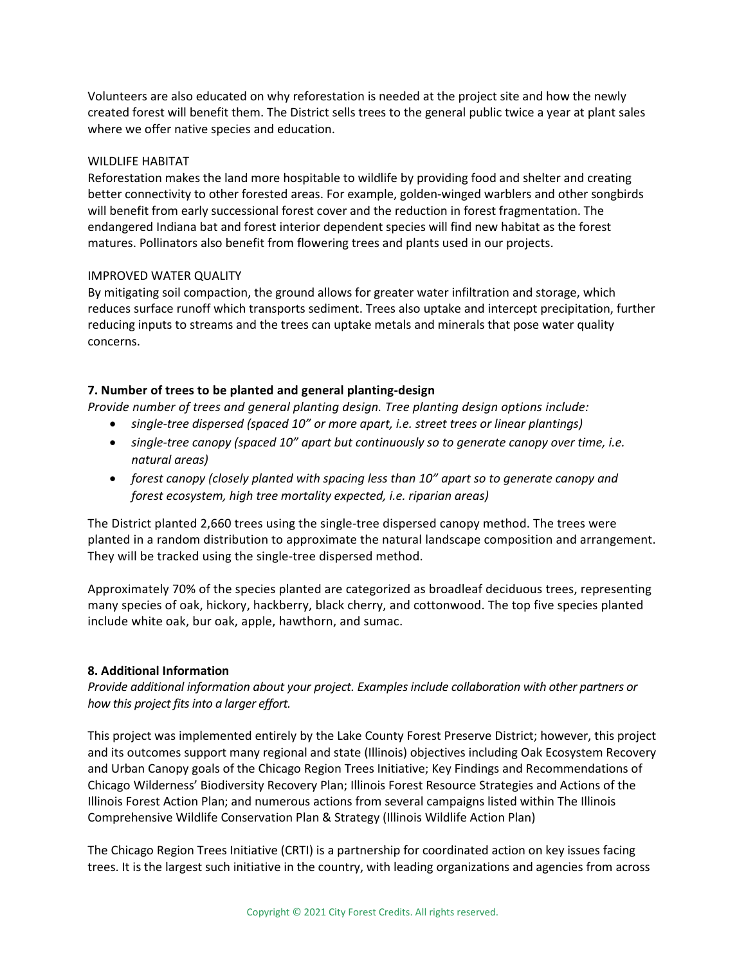Volunteers are also educated on why reforestation is needed at the project site and how the newly created forest will benefit them. The District sells trees to the general public twice a year at plant sales where we offer native species and education.

#### WILDLIFE HABITAT

Reforestation makes the land more hospitable to wildlife by providing food and shelter and creating better connectivity to other forested areas. For example, golden-winged warblers and other songbirds will benefit from early successional forest cover and the reduction in forest fragmentation. The endangered Indiana bat and forest interior dependent species will find new habitat as the forest matures. Pollinators also benefit from flowering trees and plants used in our projects.

#### IMPROVED WATER QUALITY

By mitigating soil compaction, the ground allows for greater water infiltration and storage, which reduces surface runoff which transports sediment. Trees also uptake and intercept precipitation, further reducing inputs to streams and the trees can uptake metals and minerals that pose water quality concerns.

#### **7. Number of trees to be planted and general planting-design**

*Provide number of trees and general planting design. Tree planting design options include:* 

- *single-tree dispersed (spaced 10" or more apart, i.e. street trees or linear plantings)*
- *single-tree canopy (spaced 10" apart but continuously so to generate canopy over time, i.e. natural areas)*
- *forest canopy (closely planted with spacing less than 10" apart so to generate canopy and forest ecosystem, high tree mortality expected, i.e. riparian areas)*

The District planted 2,660 trees using the single-tree dispersed canopy method. The trees were planted in a random distribution to approximate the natural landscape composition and arrangement. They will be tracked using the single-tree dispersed method.

Approximately 70% of the species planted are categorized as broadleaf deciduous trees, representing many species of oak, hickory, hackberry, black cherry, and cottonwood. The top five species planted include white oak, bur oak, apple, hawthorn, and sumac.

#### **8. Additional Information**

*Provide additional information about your project. Examples include collaboration with other partners or how this project fits into a larger effort.* 

This project was implemented entirely by the Lake County Forest Preserve District; however, this project and its outcomes support many regional and state (Illinois) objectives including Oak Ecosystem Recovery and Urban Canopy goals of the Chicago Region Trees Initiative; Key Findings and Recommendations of Chicago Wilderness' Biodiversity Recovery Plan; Illinois Forest Resource Strategies and Actions of the Illinois Forest Action Plan; and numerous actions from several campaigns listed within The Illinois Comprehensive Wildlife Conservation Plan & Strategy (Illinois Wildlife Action Plan)

The Chicago Region Trees Initiative (CRTI) is a partnership for coordinated action on key issues facing trees. It is the largest such initiative in the country, with leading organizations and agencies from across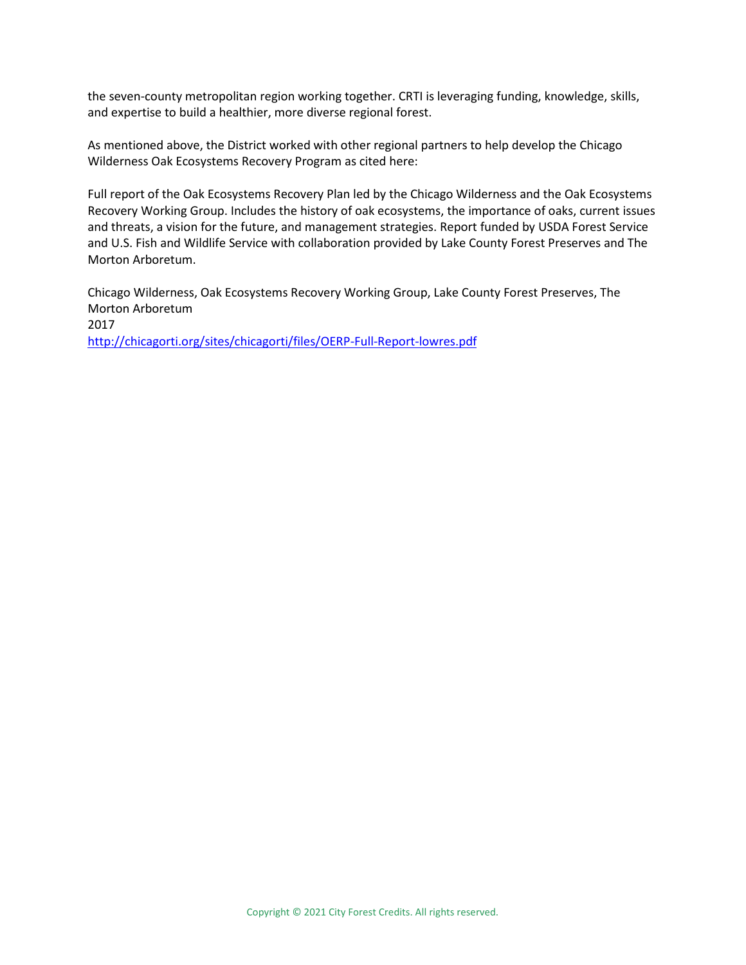the seven-county metropolitan region working together. CRTI is leveraging funding, knowledge, skills, and expertise to build a healthier, more diverse regional forest.

As mentioned above, the District worked with other regional partners to help develop the Chicago Wilderness Oak Ecosystems Recovery Program as cited here:

Full report of the Oak Ecosystems Recovery Plan led by the Chicago Wilderness and the Oak Ecosystems Recovery Working Group. Includes the history of oak ecosystems, the importance of oaks, current issues and threats, a vision for the future, and management strategies. Report funded by USDA Forest Service and U.S. Fish and Wildlife Service with collaboration provided by Lake County Forest Preserves and The Morton Arboretum.

Chicago Wilderness, Oak Ecosystems Recovery Working Group, Lake County Forest Preserves, The Morton Arboretum 2017

<http://chicagorti.org/sites/chicagorti/files/OERP-Full-Report-lowres.pdf>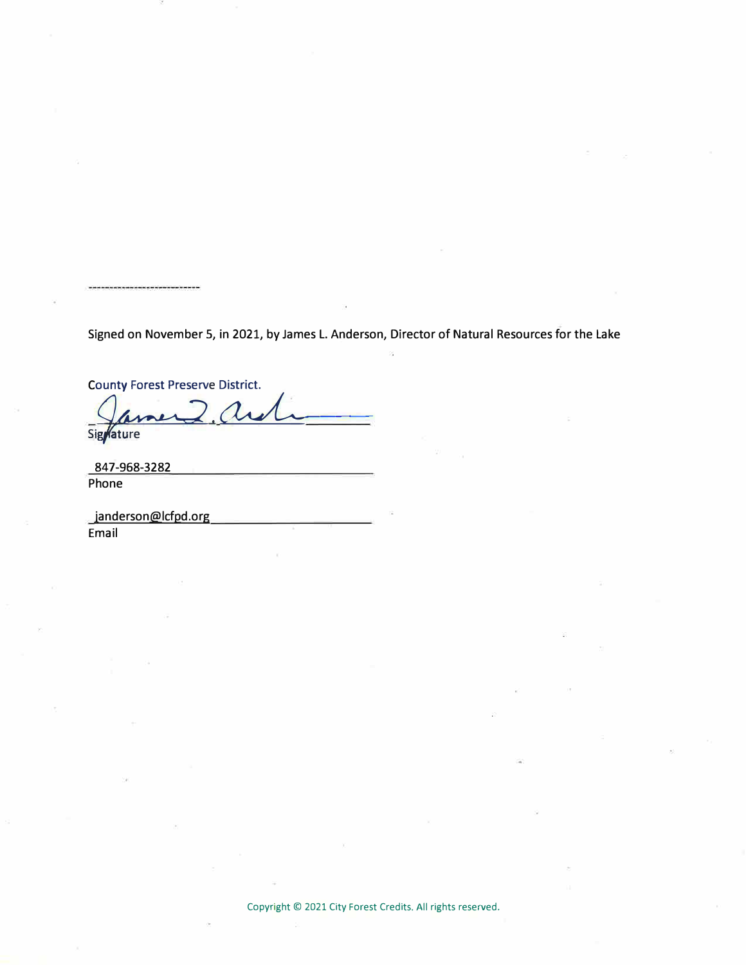Signed on November 5, in 2021, by James L. Anderson, Director of Natural Resources for the Lake

**County Forest Preserve District.** 

Signature

847-968-3282 Phone

\_janderson@lcfpd.org Email

Copyright © 2021 City Forest Credits. All rights reserved.